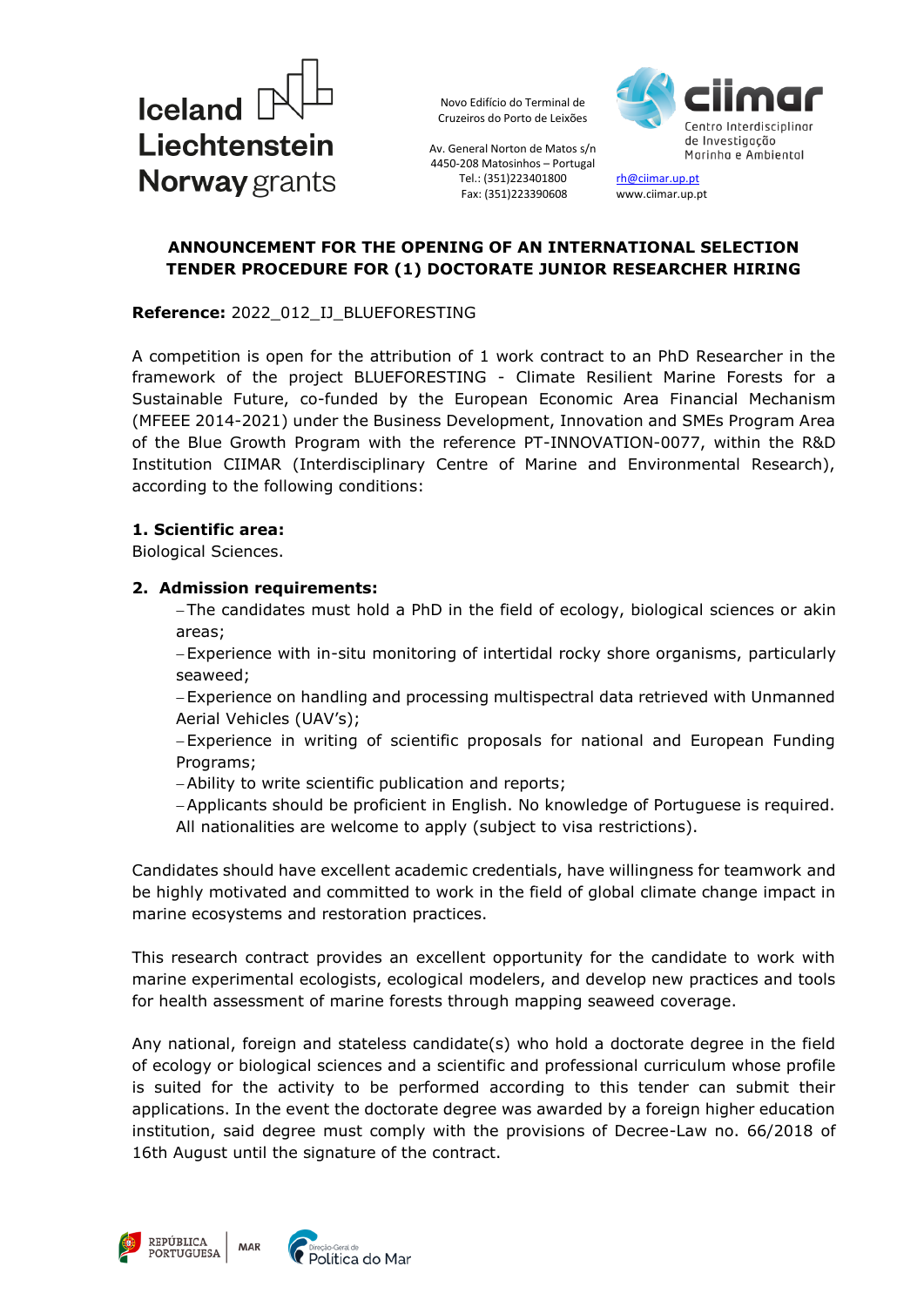



Av. General Norton de Matos s/n 4450-208 Matosinhos – Portugal Tel.: (351)223401800 Fax: (351)223390608

[rh@ciimar.up.pt](mailto:rh@ciimar.up.pt) www.ciimar.up.pt

### **ANNOUNCEMENT FOR THE OPENING OF AN INTERNATIONAL SELECTION TENDER PROCEDURE FOR (1) DOCTORATE JUNIOR RESEARCHER HIRING**

#### **Reference:** 2022\_012\_IJ\_BLUEFORESTING

A competition is open for the attribution of 1 work contract to an PhD Researcher in the framework of the project BLUEFORESTING - Climate Resilient Marine Forests for a Sustainable Future, co-funded by the European Economic Area Financial Mechanism (MFEEE 2014-2021) under the Business Development, Innovation and SMEs Program Area of the Blue Growth Program with the reference PT-INNOVATION-0077, within the R&D Institution CIIMAR (Interdisciplinary Centre of Marine and Environmental Research), according to the following conditions:

#### **1. Scientific area:**

Biological Sciences.

#### **2. Admission requirements:**

 The candidates must hold a PhD in the field of ecology, biological sciences or akin areas;

 Experience with in-situ monitoring of intertidal rocky shore organisms, particularly seaweed;

 Experience on handling and processing multispectral data retrieved with Unmanned Aerial Vehicles (UAV's);

 Experience in writing of scientific proposals for national and European Funding Programs;

Ability to write scientific publication and reports;

Applicants should be proficient in English. No knowledge of Portuguese is required. All nationalities are welcome to apply (subject to visa restrictions).

Candidates should have excellent academic credentials, have willingness for teamwork and be highly motivated and committed to work in the field of global climate change impact in marine ecosystems and restoration practices.

This research contract provides an excellent opportunity for the candidate to work with marine experimental ecologists, ecological modelers, and develop new practices and tools for health assessment of marine forests through mapping seaweed coverage.

Any national, foreign and stateless candidate(s) who hold a doctorate degree in the field of ecology or biological sciences and a scientific and professional curriculum whose profile is suited for the activity to be performed according to this tender can submit their applications. In the event the doctorate degree was awarded by a foreign higher education institution, said degree must comply with the provisions of Decree-Law no. 66/2018 of 16th August until the signature of the contract.



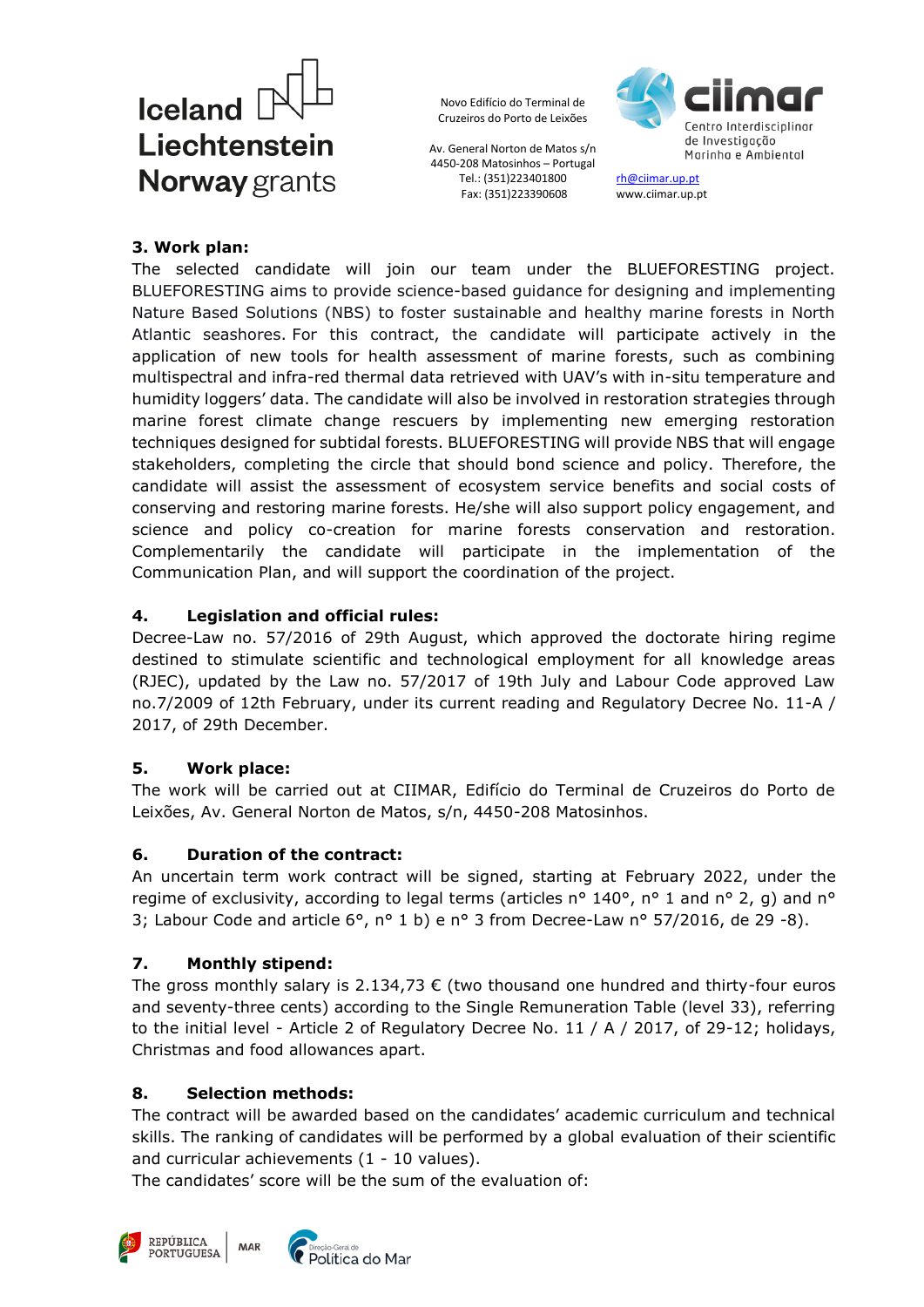

Av. General Norton de Matos s/n 4450-208 Matosinhos – Portugal Tel.: (351)223401800 Fax: (351)223390608



[rh@ciimar.up.pt](mailto:rh@ciimar.up.pt) www.ciimar.up.pt

### **3. Work plan:**

The selected candidate will join our team under the BLUEFORESTING project. BLUEFORESTING aims to provide science-based guidance for designing and implementing Nature Based Solutions (NBS) to foster sustainable and healthy marine forests in North Atlantic seashores. For this contract, the candidate will participate actively in the application of new tools for health assessment of marine forests, such as combining multispectral and infra-red thermal data retrieved with UAV's with in-situ temperature and humidity loggers' data. The candidate will also be involved in restoration strategies through marine forest climate change rescuers by implementing new emerging restoration techniques designed for subtidal forests. BLUEFORESTING will provide NBS that will engage stakeholders, completing the circle that should bond science and policy. Therefore, the candidate will assist the assessment of ecosystem service benefits and social costs of conserving and restoring marine forests. He/she will also support policy engagement, and science and policy co-creation for marine forests conservation and restoration. Complementarily the candidate will participate in the implementation of the Communication Plan, and will support the coordination of the project.

## **4. Legislation and official rules:**

Decree-Law no. 57/2016 of 29th August, which approved the doctorate hiring regime destined to stimulate scientific and technological employment for all knowledge areas (RJEC), updated by the Law no. 57/2017 of 19th July and Labour Code approved Law no.7/2009 of 12th February, under its current reading and Regulatory Decree No. 11-A / 2017, of 29th December.

## **5. Work place:**

The work will be carried out at CIIMAR, Edifício do Terminal de Cruzeiros do Porto de Leixões, Av. General Norton de Matos, s/n, 4450-208 Matosinhos.

## **6. Duration of the contract:**

An uncertain term work contract will be signed, starting at February 2022, under the regime of exclusivity, according to legal terms (articles n° 140°, n° 1 and n° 2, g) and n° 3; Labour Code and article  $6^{\circ}$ , n° 1 b) e n° 3 from Decree-Law n° 57/2016, de 29 -8).

## **7. Monthly stipend:**

The gross monthly salary is 2.134,73  $\epsilon$  (two thousand one hundred and thirty-four euros and seventy-three cents) according to the Single Remuneration Table (level 33), referring to the initial level - Article 2 of Regulatory Decree No. 11 / A / 2017, of 29-12; holidays, Christmas and food allowances apart.

### **8. Selection methods:**

The contract will be awarded based on the candidates' academic curriculum and technical skills. The ranking of candidates will be performed by a global evaluation of their scientific and curricular achievements (1 - 10 values).

The candidates' score will be the sum of the evaluation of:



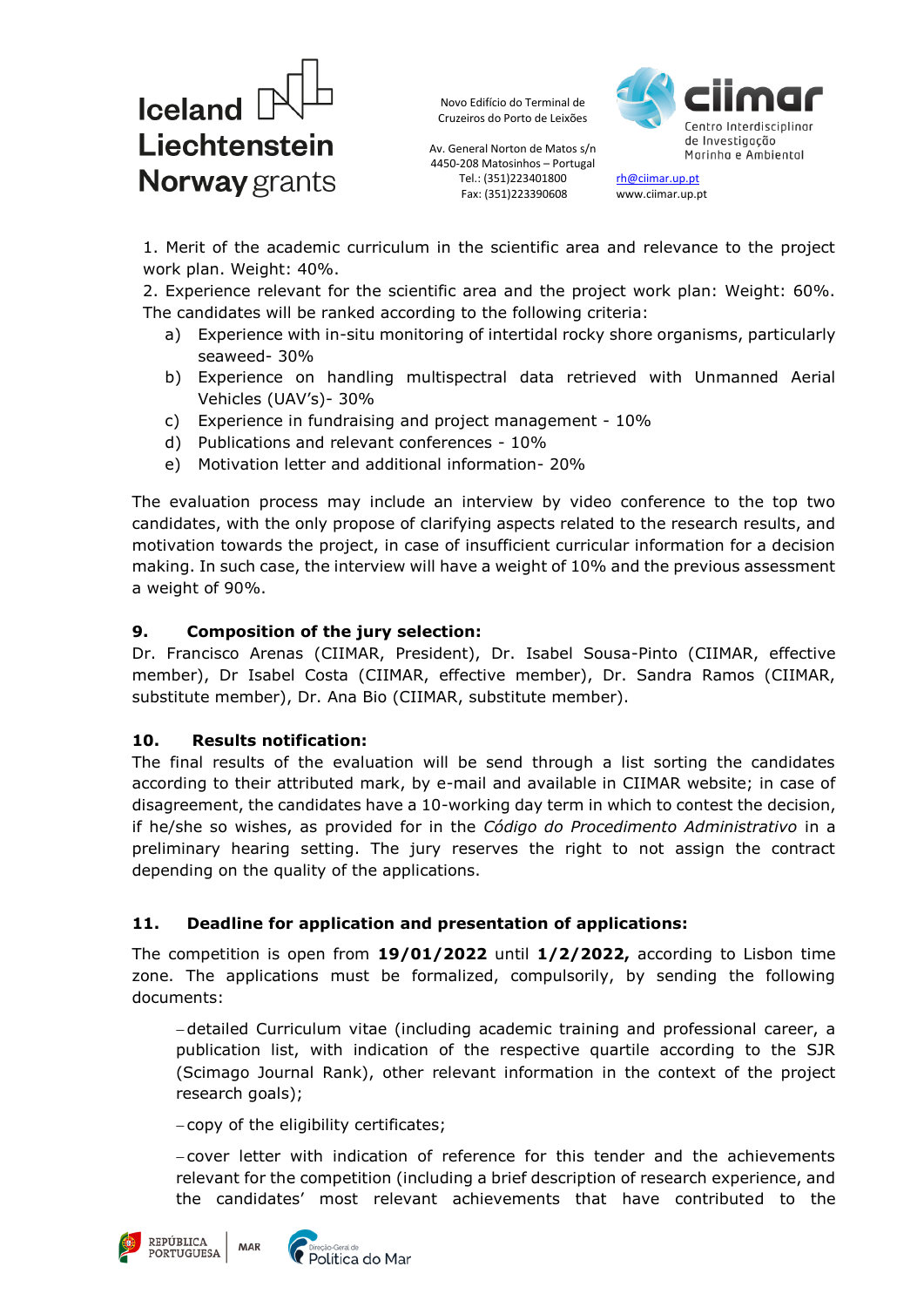

Av. General Norton de Matos s/n 4450-208 Matosinhos – Portugal Tel.: (351)223401800 Fax: (351)223390608



[rh@ciimar.up.pt](mailto:rh@ciimar.up.pt) www.ciimar.up.pt

1. Merit of the academic curriculum in the scientific area and relevance to the project work plan. Weight: 40%.

2. Experience relevant for the scientific area and the project work plan: Weight: 60%. The candidates will be ranked according to the following criteria:

- a) Experience with in-situ monitoring of intertidal rocky shore organisms, particularly seaweed- 30%
- b) Experience on handling multispectral data retrieved with Unmanned Aerial Vehicles (UAV's)- 30%
- c) Experience in fundraising and project management 10%
- d) Publications and relevant conferences 10%
- e) Motivation letter and additional information- 20%

The evaluation process may include an interview by video conference to the top two candidates, with the only propose of clarifying aspects related to the research results, and motivation towards the project, in case of insufficient curricular information for a decision making. In such case, the interview will have a weight of 10% and the previous assessment a weight of 90%.

### **9. Composition of the jury selection:**

Dr. Francisco Arenas (CIIMAR, President), Dr. Isabel Sousa-Pinto (CIIMAR, effective member), Dr Isabel Costa (CIIMAR, effective member), Dr. Sandra Ramos (CIIMAR, substitute member), Dr. Ana Bio (CIIMAR, substitute member).

### **10. Results notification:**

The final results of the evaluation will be send through a list sorting the candidates according to their attributed mark, by e-mail and available in CIIMAR website; in case of disagreement, the candidates have a 10-working day term in which to contest the decision, if he/she so wishes, as provided for in the *Código do Procedimento Administrativo* in a preliminary hearing setting. The jury reserves the right to not assign the contract depending on the quality of the applications.

### **11. Deadline for application and presentation of applications:**

The competition is open from **19/01/2022** until **1/2/2022,** according to Lisbon time zone. The applications must be formalized, compulsorily, by sending the following documents:

 detailed Curriculum vitae (including academic training and professional career, a publication list, with indication of the respective quartile according to the SJR (Scimago Journal Rank), other relevant information in the context of the project research goals);

copy of the eligibility certificates;

MAR

 cover letter with indication of reference for this tender and the achievements relevant for the competition (including a brief description of research experience, and the candidates' most relevant achievements that have contributed to the



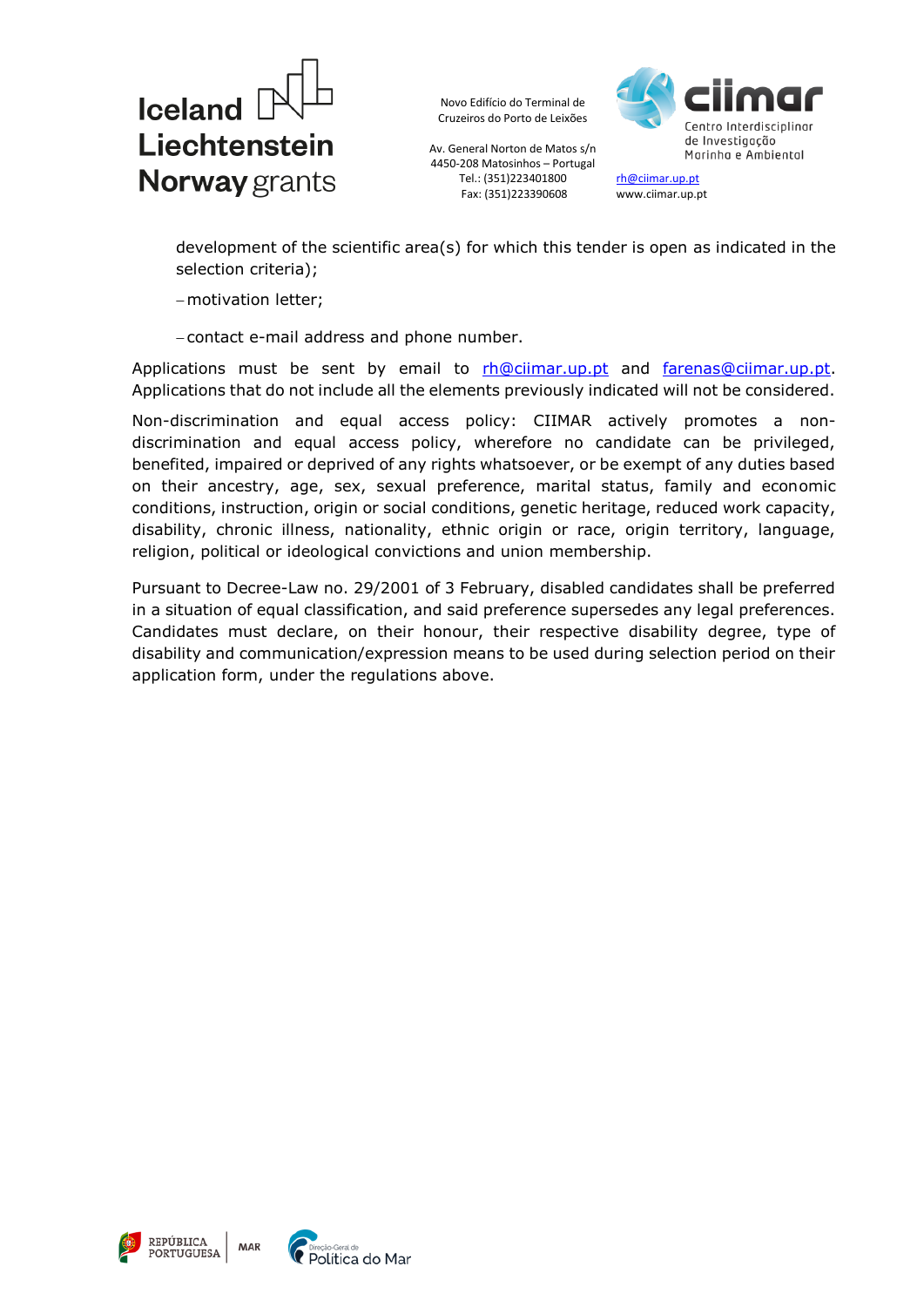

Av. General Norton de Matos s/n 4450-208 Matosinhos – Portugal Tel.: (351)223401800 Fax: (351)223390608



[rh@ciimar.up.pt](mailto:rh@ciimar.up.pt) www.ciimar.up.pt

development of the scientific area(s) for which this tender is open as indicated in the selection criteria);

- motivation letter;

contact e-mail address and phone number.

Applications must be sent by email to [rh@ciimar.up.pt](mailto:rh@ciimar.up.pt) and [farenas@ciimar.up.pt.](mailto:farenas@ciimar.up.pt) Applications that do not include all the elements previously indicated will not be considered.

Non-discrimination and equal access policy: CIIMAR actively promotes a nondiscrimination and equal access policy, wherefore no candidate can be privileged, benefited, impaired or deprived of any rights whatsoever, or be exempt of any duties based on their ancestry, age, sex, sexual preference, marital status, family and economic conditions, instruction, origin or social conditions, genetic heritage, reduced work capacity, disability, chronic illness, nationality, ethnic origin or race, origin territory, language, religion, political or ideological convictions and union membership.

Pursuant to Decree-Law no. 29/2001 of 3 February, disabled candidates shall be preferred in a situation of equal classification, and said preference supersedes any legal preferences. Candidates must declare, on their honour, their respective disability degree, type of disability and communication/expression means to be used during selection period on their application form, under the regulations above.



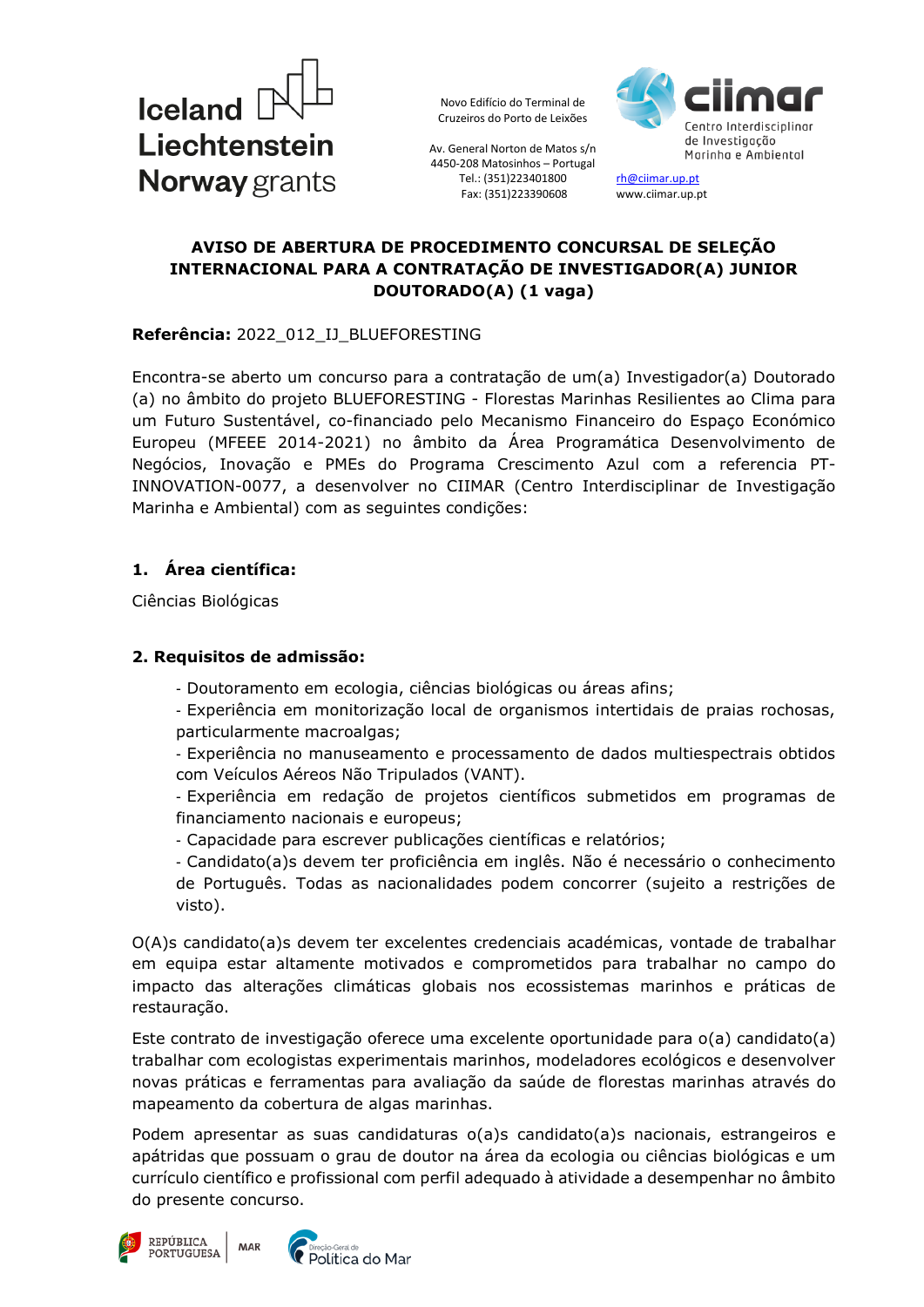



Av. General Norton de Matos s/n 4450-208 Matosinhos – Portugal Tel.: (351)223401800 Fax: (351)223390608

[rh@ciimar.up.pt](mailto:rh@ciimar.up.pt) www.ciimar.up.pt

## **AVISO DE ABERTURA DE PROCEDIMENTO CONCURSAL DE SELEÇÃO INTERNACIONAL PARA A CONTRATAÇÃO DE INVESTIGADOR(A) JUNIOR DOUTORADO(A) (1 vaga)**

### **Referência:** 2022\_012\_IJ\_BLUEFORESTING

Encontra-se aberto um concurso para a contratação de um(a) Investigador(a) Doutorado (a) no âmbito do projeto BLUEFORESTING - Florestas Marinhas Resilientes ao Clima para um Futuro Sustentável, co-financiado pelo Mecanismo Financeiro do Espaço Económico Europeu (MFEEE 2014-2021) no âmbito da Área Programática Desenvolvimento de Negócios, Inovação e PMEs do Programa Crescimento Azul com a referencia PT-INNOVATION-0077, a desenvolver no CIIMAR (Centro Interdisciplinar de Investigação Marinha e Ambiental) com as seguintes condições:

## **1. Área científica:**

Ciências Biológicas

## **2. Requisitos de admissão:**

- Doutoramento em ecologia, ciências biológicas ou áreas afins;
- Experiência em monitorização local de organismos intertidais de praias rochosas, particularmente macroalgas;
- Experiência no manuseamento e processamento de dados multiespectrais obtidos com Veículos Aéreos Não Tripulados (VANT).
- Experiência em redação de projetos científicos submetidos em programas de financiamento nacionais e europeus;
- Capacidade para escrever publicações científicas e relatórios;
- Candidato(a)s devem ter proficiência em inglês. Não é necessário o conhecimento de Português. Todas as nacionalidades podem concorrer (sujeito a restrições de visto).

O(A)s candidato(a)s devem ter excelentes credenciais académicas, vontade de trabalhar em equipa estar altamente motivados e comprometidos para trabalhar no campo do impacto das alterações climáticas globais nos ecossistemas marinhos e práticas de restauração.

Este contrato de investigação oferece uma excelente oportunidade para o(a) candidato(a) trabalhar com ecologistas experimentais marinhos, modeladores ecológicos e desenvolver novas práticas e ferramentas para avaliação da saúde de florestas marinhas através do mapeamento da cobertura de algas marinhas.

Podem apresentar as suas candidaturas o(a)s candidato(a)s nacionais, estrangeiros e apátridas que possuam o grau de doutor na área da ecologia ou ciências biológicas e um currículo científico e profissional com perfil adequado à atividade a desempenhar no âmbito do presente concurso.

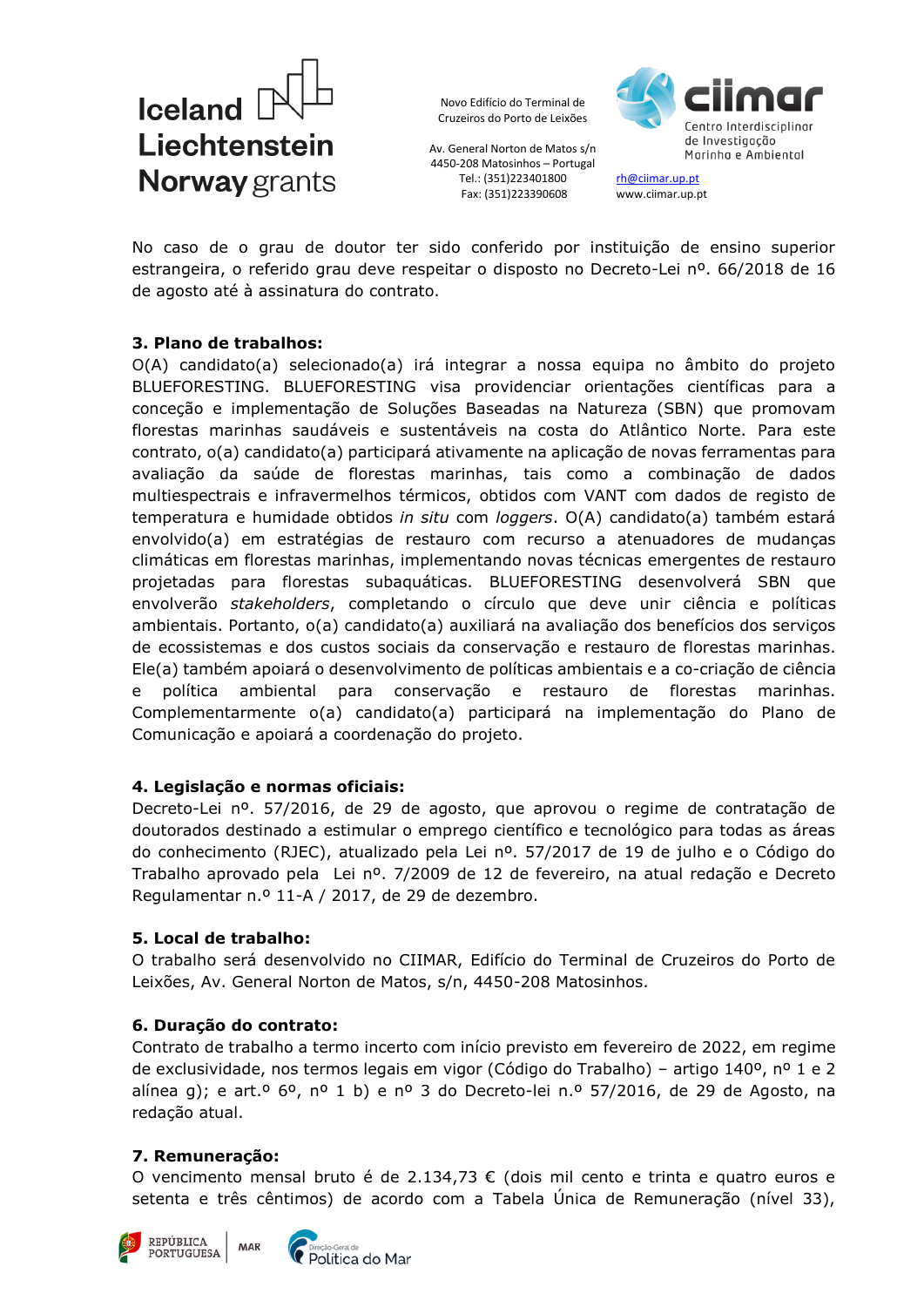

Av. General Norton de Matos s/n 4450-208 Matosinhos – Portugal Tel.: (351)223401800 Fax: (351)223390608



[rh@ciimar.up.pt](mailto:rh@ciimar.up.pt) www.ciimar.up.pt

No caso de o grau de doutor ter sido conferido por instituição de ensino superior estrangeira, o referido grau deve respeitar o disposto no Decreto-Lei nº. 66/2018 de 16 de agosto até à assinatura do contrato.

### **3. Plano de trabalhos:**

O(A) candidato(a) selecionado(a) irá integrar a nossa equipa no âmbito do projeto BLUEFORESTING. BLUEFORESTING visa providenciar orientações científicas para a conceção e implementação de Soluções Baseadas na Natureza (SBN) que promovam florestas marinhas saudáveis e sustentáveis na costa do Atlântico Norte. Para este contrato, o(a) candidato(a) participará ativamente na aplicação de novas ferramentas para avaliação da saúde de florestas marinhas, tais como a combinação de dados multiespectrais e infravermelhos térmicos, obtidos com VANT com dados de registo de temperatura e humidade obtidos *in situ* com *loggers*. O(A) candidato(a) também estará envolvido(a) em estratégias de restauro com recurso a atenuadores de mudanças climáticas em florestas marinhas, implementando novas técnicas emergentes de restauro projetadas para florestas subaquáticas. BLUEFORESTING desenvolverá SBN que envolverão *stakeholders*, completando o círculo que deve unir ciência e políticas ambientais. Portanto, o(a) candidato(a) auxiliará na avaliação dos benefícios dos serviços de ecossistemas e dos custos sociais da conservação e restauro de florestas marinhas. Ele(a) também apoiará o desenvolvimento de políticas ambientais e a co-criação de ciência e política ambiental para conservação e restauro de florestas marinhas. Complementarmente o(a) candidato(a) participará na implementação do Plano de Comunicação e apoiará a coordenação do projeto.

### **4. Legislação e normas oficiais:**

Decreto-Lei nº. 57/2016, de 29 de agosto, que aprovou o regime de contratação de doutorados destinado a estimular o emprego científico e tecnológico para todas as áreas do conhecimento (RJEC), atualizado pela Lei nº. 57/2017 de 19 de julho e o Código do Trabalho aprovado pela Lei nº. 7/2009 de 12 de fevereiro, na atual redação e Decreto Regulamentar n.º 11-A / 2017, de 29 de dezembro.

## **5. Local de trabalho:**

O trabalho será desenvolvido no CIIMAR, Edifício do Terminal de Cruzeiros do Porto de Leixões, Av. General Norton de Matos, s/n, 4450-208 Matosinhos.

### **6. Duração do contrato:**

Contrato de trabalho a termo incerto com início previsto em fevereiro de 2022, em regime de exclusividade, nos termos legais em vigor (Código do Trabalho) – artigo 140º, nº 1 e 2 alínea g); e art.º 6º, nº 1 b) e nº 3 do Decreto-lei n.º 57/2016, de 29 de Agosto, na redação atual.

### **7. Remuneração:**

O vencimento mensal bruto é de 2.134,73 € (dois mil cento e trinta e quatro euros e setenta e três cêntimos) de acordo com a Tabela Única de Remuneração (nível 33),



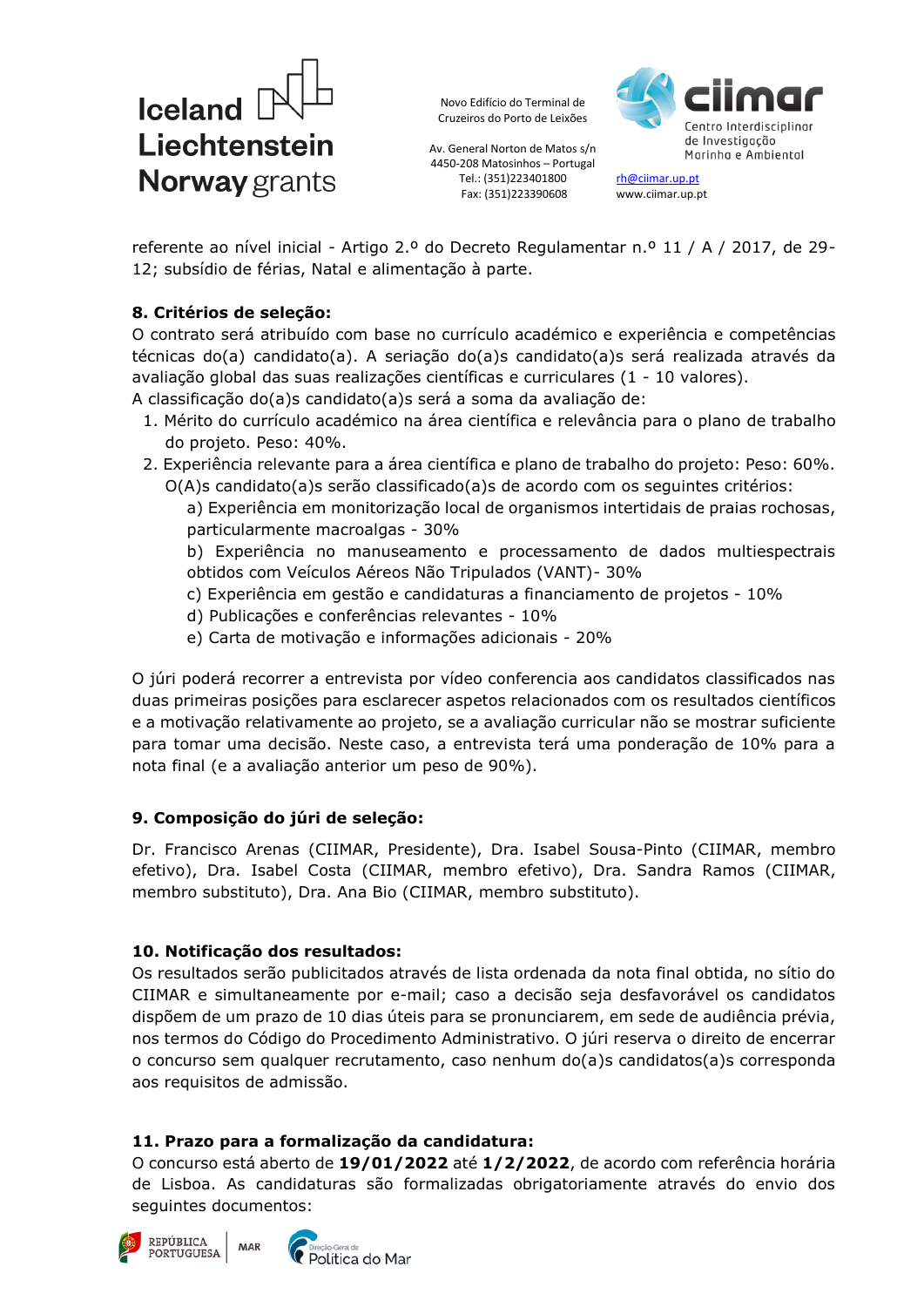

Av. General Norton de Matos s/n 4450-208 Matosinhos – Portugal Tel.: (351)223401800 Fax: (351)223390608



[rh@ciimar.up.pt](mailto:rh@ciimar.up.pt) www.ciimar.up.pt

referente ao nível inicial - Artigo 2.º do Decreto Regulamentar n.º 11 / A / 2017, de 29- 12; subsídio de férias, Natal e alimentação à parte.

# **8. Critérios de seleção:**

O contrato será atribuído com base no currículo académico e experiência e competências técnicas do(a) candidato(a). A seriação do(a)s candidato(a)s será realizada através da avaliação global das suas realizações científicas e curriculares (1 - 10 valores).

A classificação do(a)s candidato(a)s será a soma da avaliação de:

- 1. Mérito do currículo académico na área científica e relevância para o plano de trabalho do projeto. Peso: 40%.
- 2. Experiência relevante para a área científica e plano de trabalho do projeto: Peso: 60%.
	- O(A)s candidato(a)s serão classificado(a)s de acordo com os seguintes critérios: a) Experiência em monitorização local de organismos intertidais de praias rochosas, particularmente macroalgas - 30%

b) Experiência no manuseamento e processamento de dados multiespectrais obtidos com Veículos Aéreos Não Tripulados (VANT)- 30%

- c) Experiência em gestão e candidaturas a financiamento de projetos 10%
- d) Publicações e conferências relevantes 10%
- e) Carta de motivação e informações adicionais 20%

O júri poderá recorrer a entrevista por vídeo conferencia aos candidatos classificados nas duas primeiras posições para esclarecer aspetos relacionados com os resultados científicos e a motivação relativamente ao projeto, se a avaliação curricular não se mostrar suficiente para tomar uma decisão. Neste caso, a entrevista terá uma ponderação de 10% para a nota final (e a avaliação anterior um peso de 90%).

## **9. Composição do júri de seleção:**

Dr. Francisco Arenas (CIIMAR, Presidente), Dra. Isabel Sousa-Pinto (CIIMAR, membro efetivo), Dra. Isabel Costa (CIIMAR, membro efetivo), Dra. Sandra Ramos (CIIMAR, membro substituto), Dra. Ana Bio (CIIMAR, membro substituto).

## **10. Notificação dos resultados:**

Os resultados serão publicitados através de lista ordenada da nota final obtida, no sítio do CIIMAR e simultaneamente por e-mail; caso a decisão seja desfavorável os candidatos dispõem de um prazo de 10 dias úteis para se pronunciarem, em sede de audiência prévia, nos termos do Código do Procedimento Administrativo. O júri reserva o direito de encerrar o concurso sem qualquer recrutamento, caso nenhum do(a)s candidatos(a)s corresponda aos requisitos de admissão.

# **11. Prazo para a formalização da candidatura:**

O concurso está aberto de **19/01/2022** até **1/2/2022**, de acordo com referência horária de Lisboa. As candidaturas são formalizadas obrigatoriamente através do envio dos seguintes documentos: